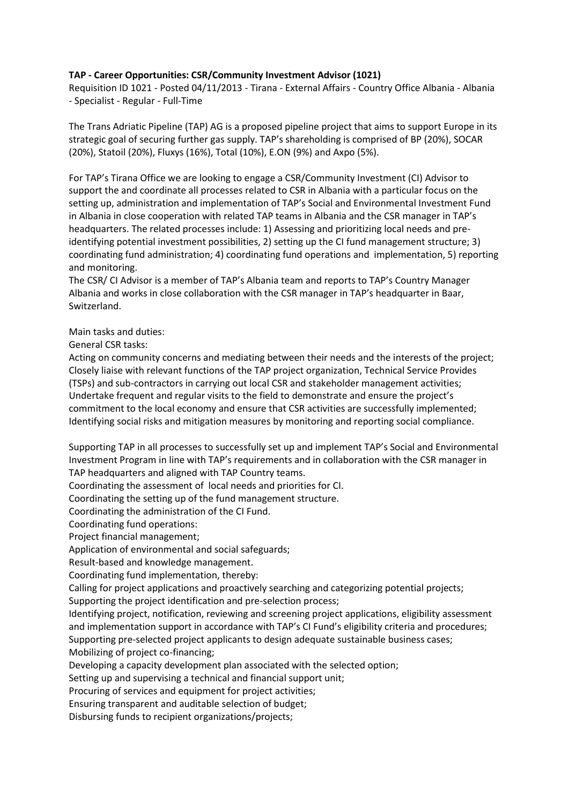## **TAP - Career Opportunities: CSR/Community Investment Advisor (1021)**

Requisition ID 1021 - Posted 04/11/2013 - Tirana - External Affairs - Country Office Albania - Albania - Specialist - Regular - Full-Time

The Trans Adriatic Pipeline (TAP) AG is a proposed pipeline project that aims to support Europe in its strategic goal of securing further gas supply. TAP's shareholding is comprised of BP (20%), SOCAR (20%), Statoil (20%), Fluxys (16%), Total (10%), E.ON (9%) and Axpo (5%).

For TAP's Tirana Office we are looking to engage a CSR/Community Investment (CI) Advisor to support the and coordinate all processes related to CSR in Albania with a particular focus on the setting up, administration and implementation of TAP's Social and Environmental Investment Fund in Albania in close cooperation with related TAP teams in Albania and the CSR manager in TAP's headquarters. The related processes include: 1) Assessing and prioritizing local needs and preidentifying potential investment possibilities, 2) setting up the CI fund management structure; 3) coordinating fund administration; 4) coordinating fund operations and implementation, 5) reporting and monitoring.

The CSR/ CI Advisor is a member of TAP's Albania team and reports to TAP's Country Manager Albania and works in close collaboration with the CSR manager in TAP's headquarter in Baar, Switzerland.

Main tasks and duties:

General CSR tasks:

Acting on community concerns and mediating between their needs and the interests of the project; Closely liaise with relevant functions of the TAP project organization, Technical Service Provides (TSPs) and sub-contractors in carrying out local CSR and stakeholder management activities; Undertake frequent and regular visits to the field to demonstrate and ensure the project's commitment to the local economy and ensure that CSR activities are successfully implemented; Identifying social risks and mitigation measures by monitoring and reporting social compliance.

Supporting TAP in all processes to successfully set up and implement TAP's Social and Environmental Investment Program in line with TAP's requirements and in collaboration with the CSR manager in TAP headquarters and aligned with TAP Country teams.

Coordinating the assessment of local needs and priorities for CI.

Coordinating the setting up of the fund management structure.

Coordinating the administration of the CI Fund.

Coordinating fund operations:

Project financial management;

Application of environmental and social safeguards;

Result-based and knowledge management.

Coordinating fund implementation, thereby:

Calling for project applications and proactively searching and categorizing potential projects; Supporting the project identification and pre-selection process;

Identifying project, notification, reviewing and screening project applications, eligibility assessment and implementation support in accordance with TAP's CI Fund's eligibility criteria and procedures; Supporting pre-selected project applicants to design adequate sustainable business cases; Mobilizing of project co-financing;

Developing a capacity development plan associated with the selected option;

Setting up and supervising a technical and financial support unit;

Procuring of services and equipment for project activities;

Ensuring transparent and auditable selection of budget;

Disbursing funds to recipient organizations/projects;